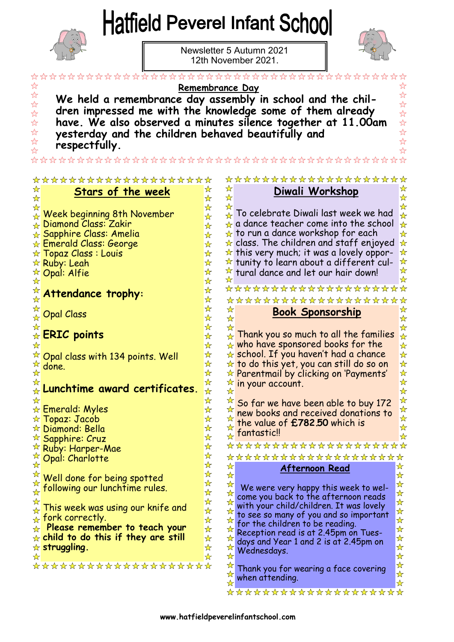## Hatfield Peverel Infant School



Newsletter 5 Autumn 2021 12th November 2021.



| ****************                                                                                                                                                                                                                                                                                                                                                                                                                                                                                                                                                                                                                                                                                                                                                                                                                               |                                                                                                                                                                                                                                                                                                             |                                                                                                                                                                                                                                                                                                                                                                                                                                                                                                                                                                                                                                                                                                                                                                                                                                                                                                                                                                                                                                                                                                                                                |                                                                                                                                                                                                                                                                                                                                                                                                                                                                |  |  |
|------------------------------------------------------------------------------------------------------------------------------------------------------------------------------------------------------------------------------------------------------------------------------------------------------------------------------------------------------------------------------------------------------------------------------------------------------------------------------------------------------------------------------------------------------------------------------------------------------------------------------------------------------------------------------------------------------------------------------------------------------------------------------------------------------------------------------------------------|-------------------------------------------------------------------------------------------------------------------------------------------------------------------------------------------------------------------------------------------------------------------------------------------------------------|------------------------------------------------------------------------------------------------------------------------------------------------------------------------------------------------------------------------------------------------------------------------------------------------------------------------------------------------------------------------------------------------------------------------------------------------------------------------------------------------------------------------------------------------------------------------------------------------------------------------------------------------------------------------------------------------------------------------------------------------------------------------------------------------------------------------------------------------------------------------------------------------------------------------------------------------------------------------------------------------------------------------------------------------------------------------------------------------------------------------------------------------|----------------------------------------------------------------------------------------------------------------------------------------------------------------------------------------------------------------------------------------------------------------------------------------------------------------------------------------------------------------------------------------------------------------------------------------------------------------|--|--|
| Remembrance Day<br>$\frac{1}{2}$<br>We held a remembrance day assembly in school and the chil-<br>$\frac{1}{2}$<br>dren impressed me with the knowledge some of them already<br>$\frac{1}{2}$<br>have. We also observed a minutes silence together at 11.00am<br>$\frac{1}{2}$<br>$\frac{1}{2}$<br>yesterday and the children behaved beautifully and<br>$\frac{1}{2}$<br>respectfully.                                                                                                                                                                                                                                                                                                                                                                                                                                                        |                                                                                                                                                                                                                                                                                                             |                                                                                                                                                                                                                                                                                                                                                                                                                                                                                                                                                                                                                                                                                                                                                                                                                                                                                                                                                                                                                                                                                                                                                |                                                                                                                                                                                                                                                                                                                                                                                                                                                                |  |  |
| **************************************<br>********************<br>*******************                                                                                                                                                                                                                                                                                                                                                                                                                                                                                                                                                                                                                                                                                                                                                          |                                                                                                                                                                                                                                                                                                             |                                                                                                                                                                                                                                                                                                                                                                                                                                                                                                                                                                                                                                                                                                                                                                                                                                                                                                                                                                                                                                                                                                                                                |                                                                                                                                                                                                                                                                                                                                                                                                                                                                |  |  |
| ☆<br>Stars of the week<br>☆                                                                                                                                                                                                                                                                                                                                                                                                                                                                                                                                                                                                                                                                                                                                                                                                                    | ☆<br>✿<br>☆<br>☆                                                                                                                                                                                                                                                                                            | Diwali Workshop                                                                                                                                                                                                                                                                                                                                                                                                                                                                                                                                                                                                                                                                                                                                                                                                                                                                                                                                                                                                                                                                                                                                | ☆<br>☆                                                                                                                                                                                                                                                                                                                                                                                                                                                         |  |  |
| Week beginning 8th November<br>$\star$ Diamond Class: Zakir<br>$\star$ Sapphire Class: Amelia<br>$\star$ Emerald Class: George<br>$\star$ Topaz Class : Louis<br>☆ Ruby: Leah<br><b><i><u><b>Opal: Alfie</b></u></i></b><br>Attendance trophy:<br>计计<br><b>Opal Class</b><br>$\overbrace{\star}^{\overleftarrow{\kappa}}$ ERIC points<br>$\sqrt[{\infty}]{ }$ Opal class with 134 points. Well<br>done.<br>Lunchtime award certificates.<br>₩<br><b>Emerald: Myles</b><br>$\star$ Topaz: Jacob<br>$\star$ Diamond: Bella<br><b><i><b>Sapphire: Cruz</b></i></b><br><b>Ruby: Harper-Mae</b><br>Opal: Charlotte<br>☆<br>☆<br>Well done for being spotted<br>following our lunchtime rules.<br>☆<br>This week was using our knife and<br>fork correctly.<br>☆<br>Please remember to teach your<br>☆<br>$\star$ child to do this if they are still | ☆<br>☆<br>$\leftarrow$<br>☆<br>✬<br>$\frac{1}{N}$<br>☆<br>☆<br>☆<br>☆<br>☆<br>D<br>☆<br>☆<br>☆<br>☆<br>☆<br>☆<br>☆<br>☆<br>☆<br>☆<br>☆<br>☆<br>☆<br>☆<br>☆<br>☆<br>☆<br>☆<br>☆<br>☆<br>☆<br>☆<br>☆<br>☆<br>☆<br>☆<br>☆<br>☆<br>☆<br>☆<br>☆<br>☆<br>☆<br>☆<br>☆<br>☆<br>☆<br>☆<br>☆<br>☆<br>☆<br>☆<br>☆<br>☆ | To celebrate Diwali last week we had<br>a dance teacher come into the school<br>$\star$ to run a dance workshop for each<br>$\star$ class. The children and staff enjoyed<br>$\star$ this very much; it was a lovely oppor-<br>$\star$ tunity to learn about a different cul-<br>$\sqrt[k]{ }$ tural dance and let our hair down!<br>********************<br>********************<br><b>Book Sponsorship</b><br>$\star$ Thank you so much to all the families<br>$\star$ who have sponsored books for the<br>$\star$ school. If you haven't had a chance<br>$\star$ to do this yet, you can still do so on<br>* Parentmail by clicking on 'Payments'<br>$\overrightarrow{K}$ in your account.<br>So far we have been able to buy 172<br>new books and received donations to<br>the value of £782.50 which is<br>fantastic!!<br>☆☆<br>****************<br>*******************<br>Afternoon Read<br>We were very happy this week to wel-<br>come you back to the afternoon reads<br>with your child/children. It was lovely<br>to see so many of you and so important<br>for the children to be reading.<br>Reception read is at 2.45pm on Tues- | ☆<br>$\frac{\lambda}{\lambda}$<br>$\frac{\lambda}{\lambda}$<br>$\frac{\lambda}{\lambda}$<br>$\frac{1}{\mathcal{N}}$<br>$\star$<br>$\frac{1}{\mathcal{N}}$<br>☆<br>☆<br>☆<br>☆<br>$\frac{\lambda}{\lambda}$<br>$\frac{1}{N}$<br>$\frac{1}{\mathcal{N}}$<br>$\frac{1}{\mathcal{N}}$<br>$\frac{1}{\mathcal{N}}$<br>$\frac{\lambda}{\lambda}$<br>$\frac{1}{\lambda}$<br>$\frac{\lambda}{\lambda}$<br>W<br>☆<br>☆<br>☆<br>☆<br>☆<br>☆<br>☆<br>☆<br>☆<br>☆<br>☆<br>☆ |  |  |
| $\star$ struggling.<br>☆                                                                                                                                                                                                                                                                                                                                                                                                                                                                                                                                                                                                                                                                                                                                                                                                                       | ☆<br>☆<br>☆<br>☆                                                                                                                                                                                                                                                                                            | days and Year 1 and 2 is at 2.45pm on<br>Wednesdays.                                                                                                                                                                                                                                                                                                                                                                                                                                                                                                                                                                                                                                                                                                                                                                                                                                                                                                                                                                                                                                                                                           | ☆<br>☆                                                                                                                                                                                                                                                                                                                                                                                                                                                         |  |  |
| ********************                                                                                                                                                                                                                                                                                                                                                                                                                                                                                                                                                                                                                                                                                                                                                                                                                           | ☆<br>☆<br>☆                                                                                                                                                                                                                                                                                                 | Thank you for wearing a face covering<br>when attending.<br>*************                                                                                                                                                                                                                                                                                                                                                                                                                                                                                                                                                                                                                                                                                                                                                                                                                                                                                                                                                                                                                                                                      | ☆<br>☆<br>☆                                                                                                                                                                                                                                                                                                                                                                                                                                                    |  |  |